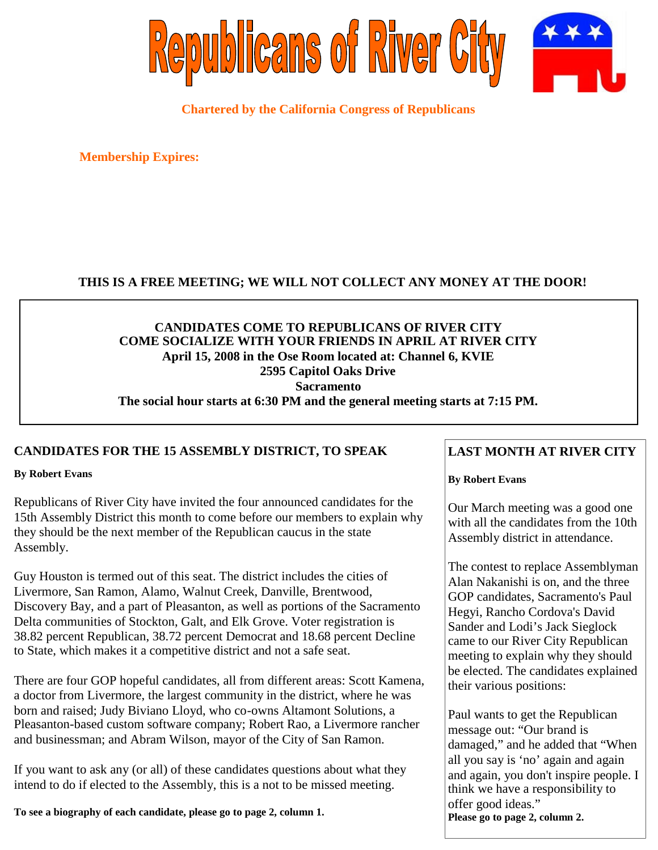

### **Chartered by the California Congress of Republicans**

**Membership Expires:**

### **THIS IS A FREE MEETING; WE WILL NOT COLLECT ANY MONEY AT THE DOOR!**

### **CANDIDATES COME TO REPUBLICANS OF RIVER CITY COME SOCIALIZE WITH YOUR FRIENDS IN APRIL AT RIVER CITY April 15, 2008 in the Ose Room located at: Channel 6, KVIE 2595 Capitol Oaks Drive Sacramento The social hour starts at 6:30 PM and the general meeting starts at 7:15 PM.**

### **CANDIDATES FOR THE 15 ASSEMBLY DISTRICT, TO SPEAK**

**By Robert Evans**

Republicans of River City have invited the four announced candidates for the 15th Assembly District this month to come before our members to explain why they should be the next member of the Republican caucus in the state Assembly.

Guy Houston is termed out of this seat. The district includes the cities of Livermore, San Ramon, Alamo, Walnut Creek, Danville, Brentwood, Discovery Bay, and a part of Pleasanton, as well as portions of the Sacramento Delta communities of Stockton, Galt, and Elk Grove. Voter registration is 38.82 percent Republican, 38.72 percent Democrat and 18.68 percent Decline to State, which makes it a competitive district and not a safe seat.

There are four GOP hopeful candidates, all from different areas: Scott Kamena, a doctor from Livermore, the largest community in the district, where he was born and raised; Judy Biviano Lloyd, who co-owns Altamont Solutions, a Pleasanton-based custom software company; Robert Rao, a Livermore rancher and businessman; and Abram Wilson, mayor of the City of San Ramon.

If you want to ask any (or all) of these candidates questions about what they intend to do if elected to the Assembly, this is a not to be missed meeting.

**To see a biography of each candidate, please go to page 2, column 1.**

# **LAST MONTH AT RIVER CITY**

#### **By Robert Evans**

Our March meeting was a good one with all the candidates from the 10th Assembly district in attendance.

The contest to replace Assemblyman Alan Nakanishi is on, and the three GOP candidates, Sacramento's Paul Hegyi, Rancho Cordova's David Sander and Lodi's Jack Sieglock came to our River City Republican meeting to explain why they should be elected. The candidates explained their various positions:

Paul wants to get the Republican message out: "Our brand is damaged," and he added that "When all you say is 'no' again and again and again, you don't inspire people. I think we have a responsibility to offer good ideas." **Please go to page 2, column 2.**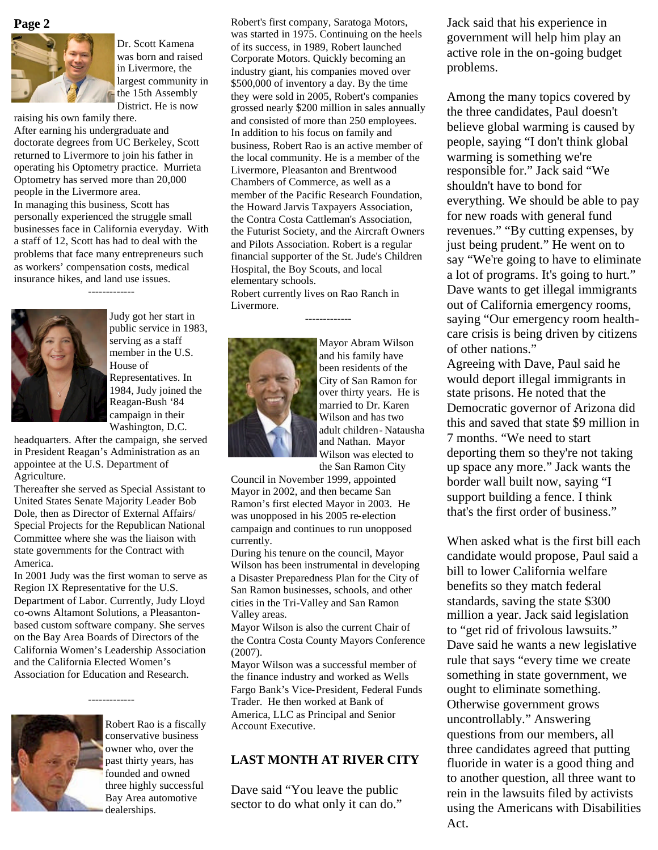



Dr. Scott Kamena was born and raised in Livermore, the largest community in the 15th Assembly District. He is now

raising his own family there. After earning his undergraduate and doctorate degrees from UC Berkeley, Scott returned to Livermore to join his father in operating his Optometry practice. Murrieta Optometry has served more than 20,000 people in the Livermore area. In managing this business, Scott has personally experienced the struggle small businesses face in California everyday. With a staff of 12, Scott has had to deal with the problems that face many entrepreneurs such as workers' compensation costs, medical insurance hikes, and land use issues.





Judy got her start in public service in 1983, serving as a staff member in the U.S. House of Representatives. In 1984, Judy joined the Reagan-Bush '84 campaign in their Washington, D.C.

headquarters. After the campaign, she served in President Reagan's Administration as an appointee at the U.S. Department of Agriculture.

Thereafter she served as Special Assistant to United States Senate Majority Leader Bob Dole, then as Director of External Affairs/ Special Projects for the Republican National Committee where she was the liaison with state governments for the Contract with America.

In 2001 Judy was the first woman to serve as Region IX Representative for the U.S. Department of Labor. Currently, Judy Lloyd co-owns Altamont Solutions, a Pleasantonbased custom software company. She serves on the Bay Area Boards of Directors of the California Women's Leadership Association and the California Elected Women's Association for Education and Research.

-------------



Robert Rao is a fiscally conservative business owner who, over the past thirty years, has founded and owned three highly successful Bay Area automotive dealerships.

Page 2 Robert's first company, Saratoga Motors, Jack said that his experience in was started in 1975. Continuing on the heels of its success, in 1989, Robert launched Corporate Motors. Quickly becoming an industry giant, his companies moved over \$500,000 of inventory a day. By the time they were sold in 2005, Robert's companies grossed nearly \$200 million in sales annually and consisted of more than 250 employees. In addition to his focus on family and business, Robert Rao is an active member of the local community. He is a member of the Livermore, Pleasanton and Brentwood Chambers of Commerce, as well as a member of the Pacific Research Foundation, the Howard Jarvis Taxpayers Association, the Contra Costa Cattleman's Association, the Futurist Society, and the Aircraft Owners and Pilots Association. Robert is a regular financial supporter of the St. Jude's Children Hospital, the Boy Scouts, and local elementary schools. Robert currently lives on Rao Ranch in Livermore.

-------------



Mayor Abram Wilson and his family have been residents of the City of San Ramon for over thirty years. He is married to Dr. Karen Wilson and has two adult children- Natausha and Nathan. Mayor Wilson was elected to the San Ramon City

Council in November 1999, appointed Mayor in 2002, and then became San Ramon's first elected Mayor in 2003. He was unopposed in his 2005 re-election campaign and continues to run unopposed currently.

During his tenure on the council, Mayor Wilson has been instrumental in developing a Disaster Preparedness Plan for the City of San Ramon businesses, schools, and other cities in the Tri-Valley and San Ramon Valley areas.

Mayor Wilson is also the current Chair of the Contra Costa County Mayors Conference (2007).

Mayor Wilson was a successful member of the finance industry and worked as Wells Fargo Bank's Vice-President, Federal Funds Trader. He then worked at Bank of America, LLC as Principal and Senior Account Executive.

#### **LAST MONTH AT RIVER CITY**

Dave said "You leave the public sector to do what only it can do." government will help him play an active role in the on-going budget problems.

Among the many topics covered by the three candidates, Paul doesn't believe global warming is caused by people, saying "I don't think global warming is something we're responsible for." Jack said "We shouldn't have to bond for everything. We should be able to pay for new roads with general fund revenues." "By cutting expenses, by just being prudent." He went on to say "We're going to have to eliminate a lot of programs. It's going to hurt." Dave wants to get illegal immigrants out of California emergency rooms, saying "Our emergency room healthcare crisis is being driven by citizens of other nations."

Agreeing with Dave, Paul said he would deport illegal immigrants in state prisons. He noted that the Democratic governor of Arizona did this and saved that state \$9 million in 7 months. "We need to start deporting them so they're not taking up space any more." Jack wants the border wall built now, saying "I support building a fence. I think that's the first order of business."

When asked what is the first bill each candidate would propose, Paul said a bill to lower California welfare benefits so they match federal standards, saving the state \$300 million a year. Jack said legislation to "get rid of frivolous lawsuits." Dave said he wants a new legislative rule that says "every time we create something in state government, we ought to eliminate something. Otherwise government grows uncontrollably." Answering questions from our members, all three candidates agreed that putting fluoride in water is a good thing and to another question, all three want to rein in the lawsuits filed by activists using the Americans with Disabilities Act.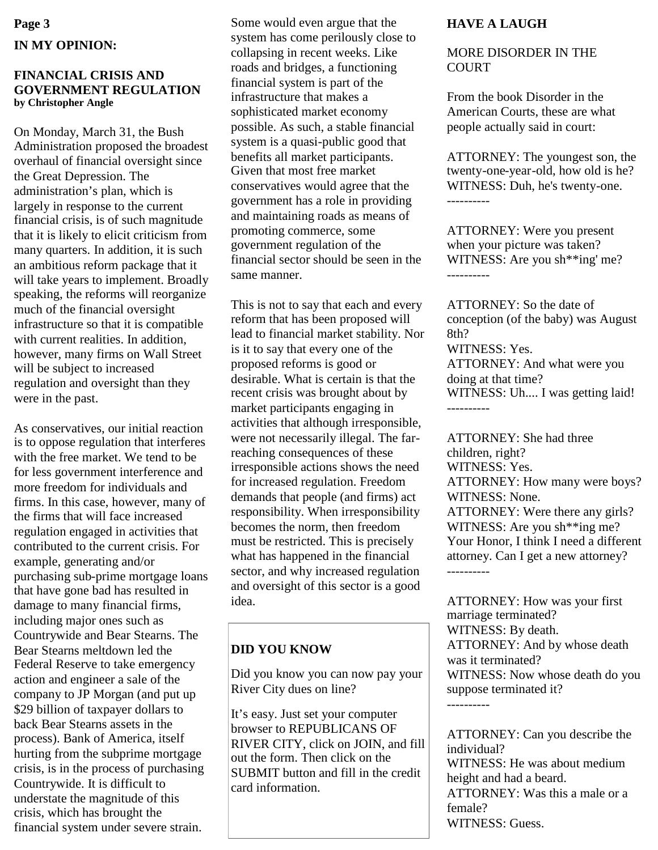# **Page 3 IN MY OPINION:**

#### **FINANCIAL CRISIS AND GOVERNMENT REGULATION by Christopher Angle**

On Monday, March 31, the Bush Administration proposed the broadest overhaul of financial oversight since the Great Depression. The administration's plan, which is largely in response to the current financial crisis, is of such magnitude that it is likely to elicit criticism from many quarters. In addition, it is such an ambitious reform package that it will take years to implement. Broadly speaking, the reforms will reorganize much of the financial oversight infrastructure so that it is compatible with current realities. In addition, however, many firms on Wall Street will be subject to increased regulation and oversight than they were in the past.

As conservatives, our initial reaction is to oppose regulation that interferes with the free market. We tend to be for less government interference and more freedom for individuals and firms. In this case, however, many of the firms that will face increased regulation engaged in activities that contributed to the current crisis. For example, generating and/or purchasing sub-prime mortgage loans that have gone bad has resulted in damage to many financial firms, including major ones such as Countrywide and Bear Stearns. The Bear Stearns meltdown led the Federal Reserve to take emergency action and engineer a sale of the company to JP Morgan (and put up \$29 billion of taxpayer dollars to back Bear Stearns assets in the process). Bank of America, itself hurting from the subprime mortgage crisis, is in the process of purchasing Countrywide. It is difficult to understate the magnitude of this crisis, which has brought the financial system under severe strain.

Some would even argue that the system has come perilously close to collapsing in recent weeks. Like roads and bridges, a functioning financial system is part of the infrastructure that makes a sophisticated market economy possible. As such, a stable financial system is a quasi-public good that benefits all market participants. Given that most free market conservatives would agree that the government has a role in providing and maintaining roads as means of promoting commerce, some government regulation of the financial sector should be seen in the same manner.

This is not to say that each and every reform that has been proposed will lead to financial market stability. Nor is it to say that every one of the proposed reforms is good or desirable. What is certain is that the recent crisis was brought about by market participants engaging in activities that although irresponsible, were not necessarily illegal. The farreaching consequences of these irresponsible actions shows the need for increased regulation. Freedom demands that people (and firms) act responsibility. When irresponsibility becomes the norm, then freedom must be restricted. This is precisely what has happened in the financial sector, and why increased regulation and oversight of this sector is a good idea.

# **DID YOU KNOW**

Did you know you can now pay your River City dues on line?

It's easy. Just set your computer browser to REPUBLICANS OF RIVER CITY, click on JOIN, and fill out the form. Then click on the SUBMIT button and fill in the credit card information.

# **HAVE A LAUGH**

### MORE DISORDER IN THE **COURT**

From the book Disorder in the American Courts, these are what people actually said in court:

ATTORNEY: The youngest son, the twenty-one-year-old, how old is he? WITNESS: Duh, he's twenty-one. ----------

ATTORNEY: Were you present when your picture was taken? WITNESS: Are you sh\*\*ing' me? ----------

ATTORNEY: So the date of conception (of the baby) was August 8th? WITNESS: Yes. ATTORNEY: And what were you doing at that time? WITNESS: Uh.... I was getting laid! ----------

ATTORNEY: She had three children, right? WITNESS: Yes. ATTORNEY: How many were boys? WITNESS: None. ATTORNEY: Were there any girls? WITNESS: Are you sh\*\*ing me? Your Honor, I think I need a different attorney. Can I get a new attorney? ----------

ATTORNEY: How was your first marriage terminated? WITNESS: By death. ATTORNEY: And by whose death was it terminated? WITNESS: Now whose death do you suppose terminated it? ----------

ATTORNEY: Can you describe the individual? WITNESS: He was about medium height and had a beard. ATTORNEY: Was this a male or a female? WITNESS: Guess.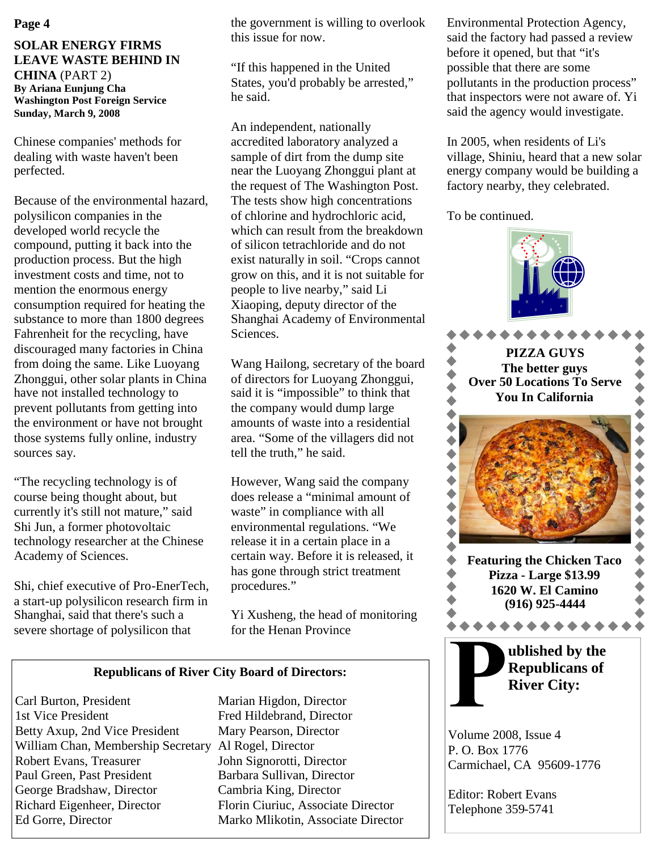#### **Page 4**

#### **SOLAR ENERGY FIRMS LEAVE WASTE BEHIND IN CHINA** (PART 2) **By Ariana Eunjung Cha Washington Post Foreign Service Sunday, March 9, 2008**

Chinese companies' methods for dealing with waste haven't been perfected.

Because of the environmental hazard, polysilicon companies in the developed world recycle the compound, putting it back into the production process. But the high investment costs and time, not to mention the enormous energy consumption required for heating the substance to more than 1800 degrees Fahrenheit for the recycling, have discouraged many factories in China from doing the same. Like Luoyang Zhonggui, other solar plants in China have not installed technology to prevent pollutants from getting into the environment or have not brought those systems fully online, industry sources say.

"The recycling technology is of course being thought about, but currently it's still not mature," said Shi Jun, a former photovoltaic technology researcher at the Chinese Academy of Sciences.

Shi, chief executive of Pro-EnerTech, a start-up polysilicon research firm in Shanghai, said that there's such a severe shortage of polysilicon that

the government is willing to overlook this issue for now.

"If this happened in the United States, you'd probably be arrested," he said.

An independent, nationally accredited laboratory analyzed a sample of dirt from the dump site near the Luoyang Zhonggui plant at the request of The Washington Post. The tests show high concentrations of chlorine and hydrochloric acid, which can result from the breakdown of silicon tetrachloride and do not exist naturally in soil. "Crops cannot grow on this, and it is not suitable for people to live nearby," said Li Xiaoping, deputy director of the Shanghai Academy of Environmental Sciences.

Wang Hailong, secretary of the board of directors for Luoyang Zhonggui, said it is "impossible" to think that the company would dump large amounts of waste into a residential area. "Some of the villagers did not tell the truth," he said.

However, Wang said the company does release a "minimal amount of waste" in compliance with all environmental regulations. "We release it in a certain place in a certain way. Before it is released, it has gone through strict treatment procedures."

Yi Xusheng, the head of monitoring for the Henan Province

#### **Republicans of River City Board of Directors:**

Carl Burton, President Marian Higdon, Director 1st Vice President Fred Hildebrand, Director Betty Axup, 2nd Vice President Mary Pearson, Director William Chan, Membership Secretary Al Rogel, Director Robert Evans, Treasurer John Signorotti, Director Paul Green, Past President Barbara Sullivan, Director George Bradshaw, Director Cambria King, Director Richard Eigenheer, Director Florin Ciuriuc, Associate Director Ed Gorre, Director Marko Mlikotin, Associate Director

Environmental Protection Agency, said the factory had passed a review before it opened, but that "it's possible that there are some pollutants in the production process" that inspectors were not aware of. Yi said the agency would investigate.

In 2005, when residents of Li's village, Shiniu, heard that a new solar energy company would be building a factory nearby, they celebrated.

To be continued.

 $\bullet$  $\blacklozenge$  $\blacklozenge$  $\blacklozenge$  $\blacklozenge$ 



Volume 2008, Issue 4 P. O. Box 1776 Carmichael, CA 95609-1776

Editor: Robert Evans Telephone 359-5741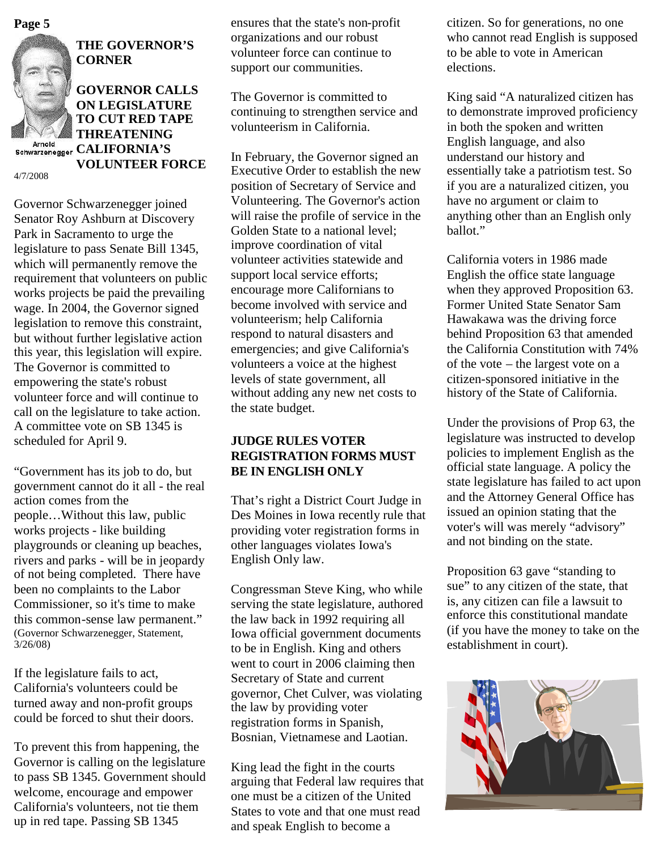![](_page_4_Picture_0.jpeg)

![](_page_4_Picture_1.jpeg)

**THE GOVERNOR'S CORNER**

**GOVERNOR CALLS ON LEGISLATURE TO CUT RED TAPE VOLUNTEER FORCE**

4/7/2008

**THREATENING Arnold**<br> **Schwarzenegger CALIFORNIA'S** 

Governor Schwarzenegger joined Senator Roy Ashburn at Discovery Park in Sacramento to urge the legislature to pass Senate Bill 1345, which will permanently remove the requirement that volunteers on public works projects be paid the prevailing wage. In 2004, the Governor signed legislation to remove this constraint, but without further legislative action this year, this legislation will expire. The Governor is committed to empowering the state's robust volunteer force and will continue to call on the legislature to take action. A committee vote on SB 1345 is scheduled for April 9.

"Government has its job to do, but government cannot do it all - the real action comes from the people…Without this law, public works projects - like building playgrounds or cleaning up beaches, rivers and parks - will be in jeopardy of not being completed. There have been no complaints to the Labor Commissioner, so it's time to make this common-sense law permanent." (Governor Schwarzenegger, Statement, 3/26/08)

If the legislature fails to act, California's volunteers could be turned away and non-profit groups could be forced to shut their doors.

To prevent this from happening, the Governor is calling on the legislature to pass SB 1345. Government should welcome, encourage and empower California's volunteers, not tie them up in red tape. Passing SB 1345

ensures that the state's non-profit organizations and our robust volunteer force can continue to support our communities.

The Governor is committed to continuing to strengthen service and volunteerism in California.

In February, the Governor signed an Executive Order to establish the new position of Secretary of Service and Volunteering. The Governor's action will raise the profile of service in the Golden State to a national level; improve coordination of vital volunteer activities statewide and support local service efforts; encourage more Californians to become involved with service and volunteerism; help California respond to natural disasters and emergencies; and give California's volunteers a voice at the highest levels of state government, all without adding any new net costs to the state budget.

### **JUDGE RULES VOTER REGISTRATION FORMS MUST BE IN ENGLISH ONLY**

That's right a District Court Judge in Des Moines in Iowa recently rule that providing voter registration forms in other languages violates Iowa's English Only law.

Congressman Steve King, who while serving the state legislature, authored the law back in 1992 requiring all Iowa official government documents to be in English. King and others went to court in 2006 claiming then Secretary of State and current governor, Chet Culver, was violating the law by providing voter registration forms in Spanish, Bosnian, Vietnamese and Laotian.

King lead the fight in the courts arguing that Federal law requires that one must be a citizen of the United States to vote and that one must read and speak English to become a

**Page 5** citizen. So for generations, no one who cannot read English is supposed to be able to vote in American elections.

> King said "A naturalized citizen has to demonstrate improved proficiency in both the spoken and written English language, and also understand our history and essentially take a patriotism test. So if you are a naturalized citizen, you have no argument or claim to anything other than an English only ballot."

> California voters in 1986 made English the office state language when they approved Proposition 63. Former United State Senator Sam Hawakawa was the driving force behind Proposition 63 that amended the California Constitution with 74% of the vote – the largest vote on a citizen-sponsored initiative in the history of the State of California.

Under the provisions of Prop 63, the legislature was instructed to develop policies to implement English as the official state language. A policy the state legislature has failed to act upon and the Attorney General Office has issued an opinion stating that the voter's will was merely "advisory" and not binding on the state.

Proposition 63 gave "standing to sue" to any citizen of the state, that is, any citizen can file a lawsuit to enforce this constitutional mandate (if you have the money to take on the establishment in court).

![](_page_4_Picture_22.jpeg)